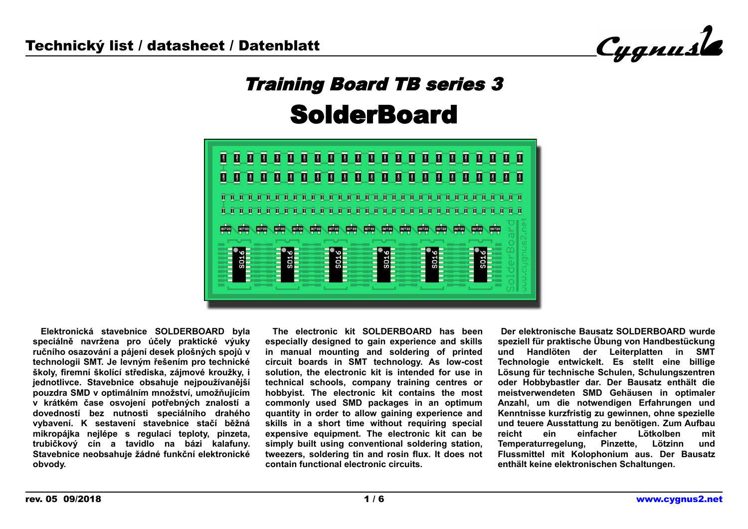

# Training Board TB series 3 **SolderBoard**



 **Elektronická stavebnice SOLDERBOARD byla speciálně navržena pro účely praktické výuky ručního osazování a pájení desek plošných spojů v technologii SMT. Je levným řešením pro technické školy, firemní školící střediska, zájmové kroužky, i jednotlivce. Stavebnice obsahuje nejpoužívanější pouzdra SMD v optimálním množství, umožňujícím v krátkém čase osvojení potřebných znalostí a dovedností bez nutnosti speciálního drahého vybavení. K sestavení stavebnice stačí běžná mikropájka nejlépe s regulací teploty, pinzeta, trubičkový cín a tavidlo na bázi kalafuny. Stavebnice neobsahuje žádné funkční elektronické obvody.**

 **The electronic kit SOLDERBOARD has been especially designed to gain experience and skills in manual mounting and soldering of printed circuit boards in SMT technology. As low-cost solution, the electronic kit is intended for use in technical schools, company training centres or hobbyist. The electronic kit contains the most commonly used SMD packages in an optimum quantity in order to allow gaining experience and skills in a short time without requiring special expensive equipment. The electronic kit can be simply built using conventional soldering station, tweezers, soldering tin and rosin flux. It does not contain functional electronic circuits.**

 **Der elektronische Bausatz SOLDERBOARD wurde speziell für praktische Übung von Handbestückung und Handlöten der Leiterplatten in SMT Technologie entwickelt. Es stellt eine billige Lösung für technische Schulen, Schulungszentren oder Hobbybastler dar. Der Bausatz enthält die meistverwendeten SMD Gehäusen in optimaler Anzahl, um die notwendigen Erfahrungen und Kenntnisse kurzfristig zu gewinnen, ohne spezielle und teuere Ausstattung zu benötigen. Zum Aufbau reicht ein einfacher Lötkolben mit Temperaturregelung, Pinzette, Lötzinn und Flussmittel mit Kolophonium aus. Der Bausatz enthält keine elektronischen Schaltungen.**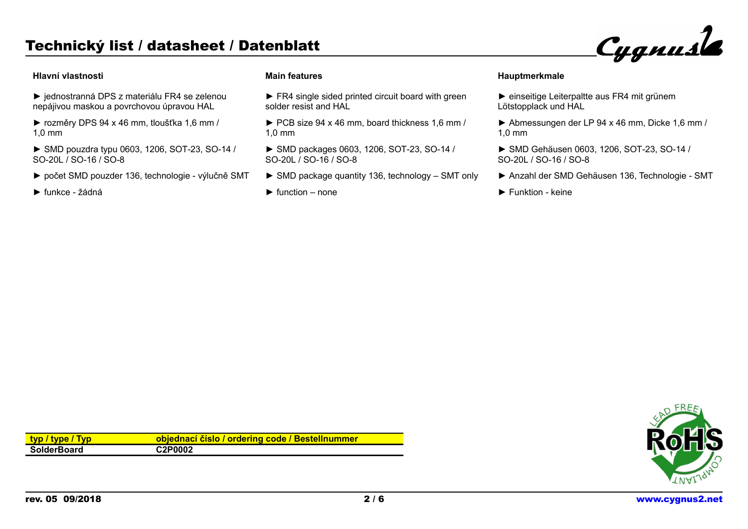### **Hlavní vlastnosti**

- ► jednostranná DPS z materiálu FR4 se zelenou nepájivou maskou a povrchovou úpravou HAL
- ► rozměry DPS 94 x 46 mm, tloušťka 1,6 mm / 1,0 mm
- ► SMD pouzdra typu 0603, 1206, SOT-23, SO-14 / SO-20L / SO-16 / SO-8
- ► počet SMD pouzder 136, technologie výlučně SMT
- ► funkce žádná

#### **Main features**

- ► FR4 single sided printed circuit board with green solder resist and HAL
- ► PCB size 94 x 46 mm, board thickness 1,6 mm / 1,0 mm
- ► SMD packages 0603, 1206, SOT-23, SO-14 / SO-20L / SO-16 / SO-8
- ► SMD package quantity 136, technology SMT only
- $\blacktriangleright$  function none
- ► einseitige Leiterpaltte aus FR4 mit grünem Lötstopplack und HAL
- ► Abmessungen der LP 94 x 46 mm, Dicke 1,6 mm / 1,0 mm

Cygnusle

- ► SMD Gehäusen 0603, 1206, SOT-23, SO-14 / SO-20L / SO-16 / SO-8
- ► Anzahl der SMD Gehäusen 136, Technologie SMT
- ► Funktion keine

| typ / type / Typ   | objednací číslo / ordering code / Bestellnummer |
|--------------------|-------------------------------------------------|
| <b>SolderBoard</b> | C2P0002                                         |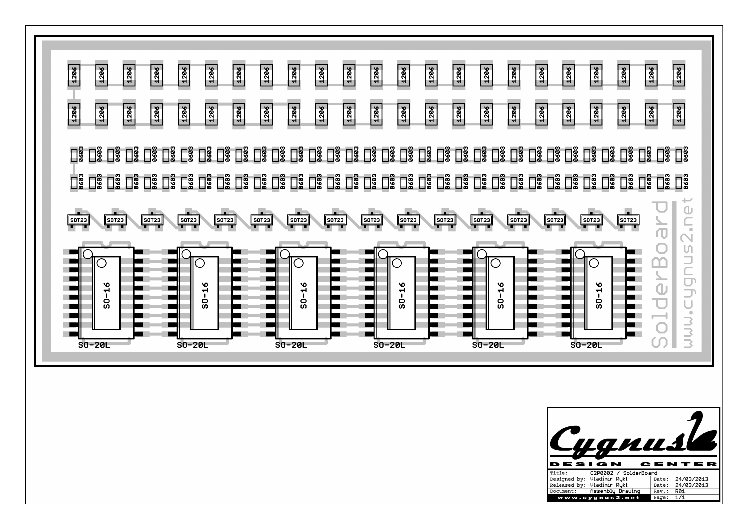| 1286<br>1286<br>1286<br>1286<br>1286<br>1206<br>1206<br>1286<br>1206<br>1286<br>1206<br>1206<br>90ZT<br>1286<br>1286<br>9921<br>90ZT<br>1286<br>1286<br>1286<br>1286<br>1286<br>1286<br>1286<br>1286<br>1206<br>1206<br>1206<br>1206<br>1286<br>1206<br>1286<br>1206<br>1206<br>1206<br>1286                                                                                                                                                                        | 1286<br>1286<br>1286<br>1286<br>1286<br>1286<br>1286<br>1286<br>1286<br>1286                                                                                                                                                          |
|---------------------------------------------------------------------------------------------------------------------------------------------------------------------------------------------------------------------------------------------------------------------------------------------------------------------------------------------------------------------------------------------------------------------------------------------------------------------|---------------------------------------------------------------------------------------------------------------------------------------------------------------------------------------------------------------------------------------|
| $\frac{1}{\sqrt{50123}}$<br>$\frac{1}{\left  \text{S}0\text{T}23\right  }$<br>$\frac{1}{\sqrt{50123}}$<br>$\frac{1}{\left[\frac{\text{SOT23}}{1}\right]}$<br>$\begin{array}{c} \begin{array}{c} \text{I} \end{array} \end{array}$<br>$\overline{\text{SOT23}}$<br>$\overline{\text{SOT23}}$<br>$\overline{\text{SOT23}}$<br>$\overline{\text{SOT23}}$<br><b>SOT23</b><br>$\boxed{\frac{50T23}{}}$<br>$\boxed{\frac{50T}{23}}$<br>$s$ <sub>0</sub> $r$ <sub>23</sub> | <b>U</b><br><b>SOT23</b><br>$\boxed{\frac{50T}{23}}$<br><b>SOT23</b>                                                                                                                                                                  |
| へ<br>$\overline{\circ}$<br>10<br>С<br>С<br>$50 - 16$<br>$50 - 16$<br>$50 - 16$<br>$$0 - 16$<br>$50 - 16$<br>$SO-20L$<br>$SO-20L$<br>$SO-20L$<br>$SO-20L$<br>$SO-20L$                                                                                                                                                                                                                                                                                                | )<br>可<br>$\hfill \square$<br>Snubh<br>$50 - 16$<br>Ō<br>JUU.C<br>$SO-20L$                                                                                                                                                            |
|                                                                                                                                                                                                                                                                                                                                                                                                                                                                     | uanusl                                                                                                                                                                                                                                |
|                                                                                                                                                                                                                                                                                                                                                                                                                                                                     | DESIGN<br>CENTER<br>C2P0002 / SolderBoard<br>Title:<br>Designed by: Vladimir Rykl<br>Date: 24/03/2013<br>Released by: Vladimir Rykl<br>Date: 24/03/2013<br>Assembly Drawing<br>Document:<br>Rev.: R01<br>www.cygnus2.net<br>Page: 1/1 |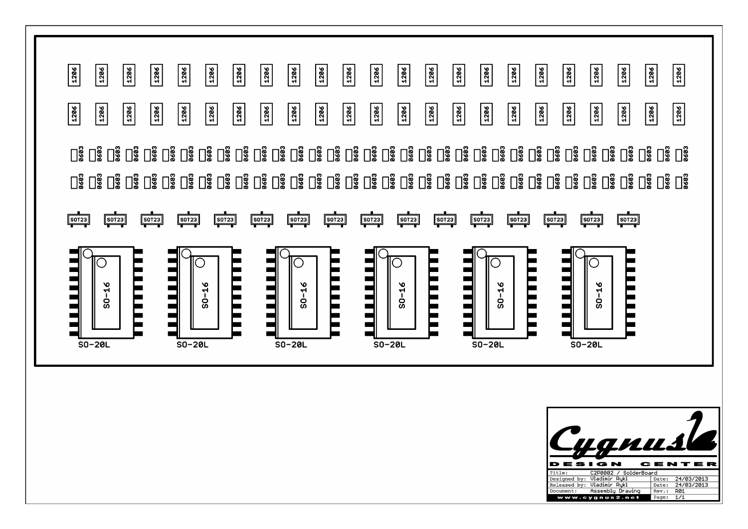

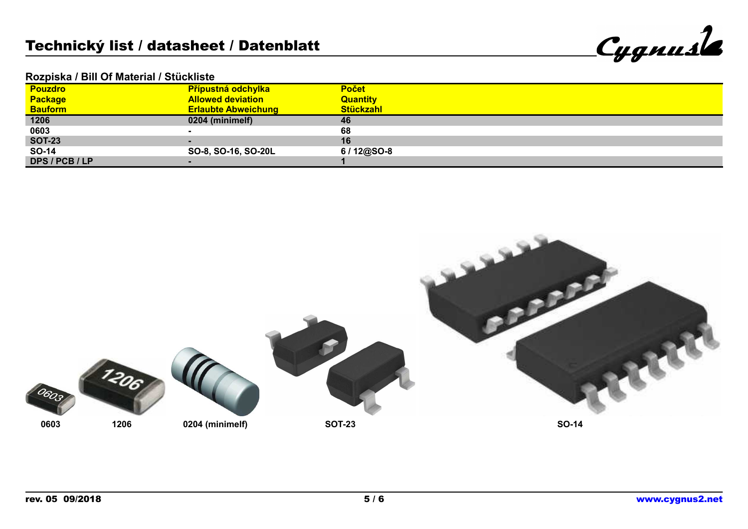| Cygnusk |
|---------|
|         |

## **Rozpiska / Bill Of Material / Stückliste**

| <b>Pouzdro</b> |                | <b>Přípustná odchylka</b>  | <b>Počet</b>     |
|----------------|----------------|----------------------------|------------------|
| <b>Package</b> |                | <b>Allowed deviation</b>   | <b>Quantity</b>  |
| <b>Bauform</b> |                | <b>Erlaubte Abweichung</b> | <b>Stückzahl</b> |
| 1206           |                | 0204 (minimelf)            | 46               |
| 0603           |                |                            | 68               |
| <b>SOT-23</b>  |                |                            | 16               |
| SO-14          |                | SO-8, SO-16, SO-20L        | $6/12@SO-8$      |
|                | DPS / PCB / LP |                            |                  |